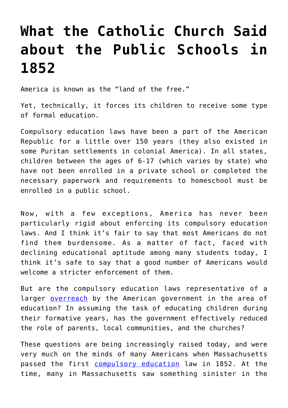## **[What the Catholic Church Said](https://intellectualtakeout.org/2016/05/what-the-catholic-church-said-about-the-public-schools-in-1852/) [about the Public Schools in](https://intellectualtakeout.org/2016/05/what-the-catholic-church-said-about-the-public-schools-in-1852/) [1852](https://intellectualtakeout.org/2016/05/what-the-catholic-church-said-about-the-public-schools-in-1852/)**

America is known as the "land of the free."

Yet, technically, it forces its children to receive some type of formal education.

Compulsory education laws have been a part of the American Republic for a little over 150 years (they also existed in some Puritan settlements in colonial America). In all states, children between the ages of 6-17 (which varies by state) who have not been enrolled in a private school or completed the necessary paperwork and requirements to homeschool must be enrolled in a public school.

Now, with a few exceptions, America has never been particularly rigid about enforcing its compulsory education laws. And I think it's fair to say that most Americans do not find them burdensome. As a matter of fact, faced with declining educational aptitude among many students today, I think it's safe to say that a good number of Americans would welcome a stricter enforcement of them.

But are the compulsory education laws representative of a larger **[overreach](https://www.intellectualtakeout.org/blog/10-quotes-education-systems-most-infamous-critic)** by the American government in the area of education? In assuming the task of educating children during their formative years, has the government effectively reduced the role of parents, local communities, and the churches?

These questions are being increasingly raised today, and were very much on the minds of many Americans when Massachusetts passed the first [compulsory education](https://www.intellectualtakeout.org/blog/coming-clean-my-5-suggestions-improving-education-system) law in 1852. At the time, many in Massachusetts saw something sinister in the